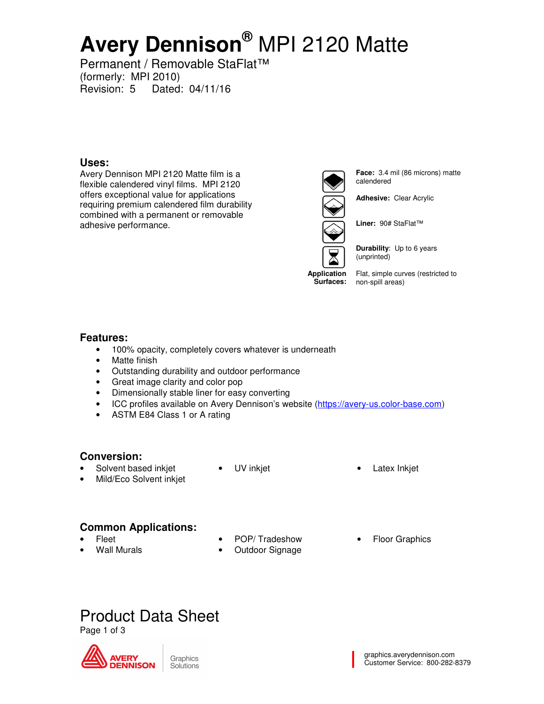# **Avery Dennison®** MPI 2120 Matte

Permanent / Removable StaFlat™ (formerly: MPI 2010) Revision: 5 Dated: 04/11/16

### **Uses:**

Avery Dennison MPI 2120 Matte film is a flexible calendered vinyl films. MPI 2120 offers exceptional value for applications requiring premium calendered film durability combined with a permanent or removable adhesive performance.





**Face:** 3.4 mil (86 microns) matte calendered

**Adhesive:** Clear Acrylic



**Durability**: Up to 6 years (unprinted)

**Surfaces:**  non-spill areas) Flat, simple curves (restricted to

### **Features:**

- 100% opacity, completely covers whatever is underneath
- Matte finish
- Outstanding durability and outdoor performance
- Great image clarity and color pop
- Dimensionally stable liner for easy converting
- ICC profiles available on Avery Dennison's website (https://avery-us.color-base.com)
- ASTM E84 Class 1 or A rating

### **Conversion:**

- Solvent based inkjet
- Mild/Eco Solvent inkjet
- 
- UV inkjet **•** Latex Inkjet

## **Common Applications:**

- Fleet
- Wall Murals
- POP/ Tradeshow
- Outdoor Signage
- Floor Graphics

## Product Data Sheet

Page 1 of 3



**Application**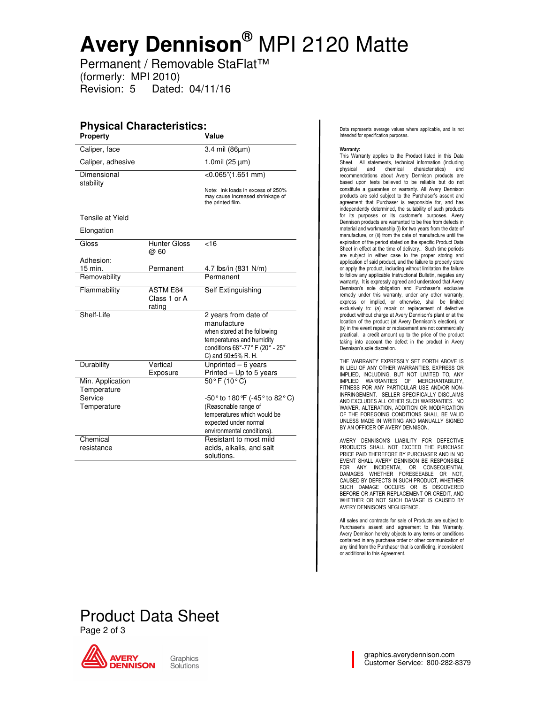## **Avery Dennison®** MPI 2120 Matte

Permanent / Removable StaFlat™ (formerly: MPI 2010) Revision: 5 Dated: 04/11/16

#### **Physical Characteristics: Property** Caliper, face 3.4 mil (86µm) Caliper, adhesive  $1.0$ mil (25  $\mu$ m) **Dimensional** stability  $<$ 0.065"(1.651 mm) Note: Ink loads in excess of 250% may cause increased shrinkage of the printed film. Tensile at Yield Elongation Gloss Hunter Gloss @ 60  $\overline{<}16$ Adhesion: 15 min. Permanent 4.7 lbs/in (831 N/m) Removability **Permanent** Flammability ASTM E84 Class 1 or A rating Self Extinguishing Shelf-Life 2 years from date of manufacture when stored at the following temperatures and humidity conditions 68°-77° F (20° - 25° C) and 50±5% R. H. Durability Vertical Exposure Unprinted – 6 years Printed – Up to 5 years Min. Application **Temperature**  50° F (10° C) Service **Temperature**  -50° to 180°F (-45° to 82° C) (Reasonable range of temperatures which would be expected under normal environmental conditions). **Chemical** resistance Resistant to most mild acids, alkalis, and salt solutions.

Data represents average values where applicable, and is not intended for specification purposes.

#### Warranty:

This Warranty applies to the Product listed in this Data Sheet. All statements, technical information (including<br>physical and chemical characteristics) and characteristics) and recommendations about Avery Dennison products are based upon tests believed to be reliable but do not constitute a guarantee or warranty. All Avery Dennison products are sold subject to the Purchaser's assent and agreement that Purchaser is responsible for, and has independently determined, the suitability of such products for its purposes or its customer's purposes. Avery Dennison products are warranted to be free from defects in material and workmanship (i) for two years from the date of manufacture, or (ii) from the date of manufacture until the expiration of the period stated on the specific Product Data Sheet in effect at the time of delivery.. Such time periods are subject in either case to the proper storing and application of said product, and the failure to properly store or apply the product, including without limitation the failure to follow any applicable Instructional Bulletin, negates any warranty. It is expressly agreed and understood that Avery Dennison's sole obligation and Purchaser's exclusive remedy under this warranty, under any other warranty, express or implied, or otherwise, shall be limited exclusively to: (a) repair or replacement of defective product without charge at Avery Dennison's plant or at the location of the product (at Avery Dennison's election), or (b) in the event repair or replacement are not commercially practical, a credit amount up to the price of the product taking into account the defect in the product in Avery Dennison's sole discretion.

THE WARRANTY EXPRESSLY SET FORTH ABOVE IS IN LIEU OF ANY OTHER WARRANTIES, EXPRESS OR IMPLIED, INCLUDING, BUT NOT LIMITED TO, ANY IMPLIED WARRANTIES OF MERCHANTABILITY, FITNESS FOR ANY PARTICULAR USE AND/OR NON-INFRINGEMENT. SELLER SPECIFICALLY DISCLAIMS AND EXCLUDES ALL OTHER SUCH WARRANTIES. NO WAIVER, ALTERATION, ADDITION OR MODIFICATION OF THE FOREGOING CONDITIONS SHALL BE VALID UNLESS MADE IN WRITING AND MANUALLY SIGNED BY AN OFFICER OF AVERY DENNISON.

AVERY DENNISON'S LIABILITY FOR DEFECTIVE PRODUCTS SHALL NOT EXCEED THE PURCHASE PRICE PAID THEREFORE BY PURCHASER AND IN NO EVENT SHALL AVERY DENNISON BE RESPONSIBLE FOR ANY INCIDENTAL OR CONSEQUENTIAL DAMAGES WHETHER FORESEEABLE OR NOT, CAUSED BY DEFECTS IN SUCH PRODUCT, WHETHER SUCH DAMAGE OCCURS OR IS DISCOVERED BEFORE OR AFTER REPLACEMENT OR CREDIT, AND WHETHER OR NOT SUCH DAMAGE IS CAUSED BY AVERY DENNISON'S NEGLIGENCE.

All sales and contracts for sale of Products are subject to Purchaser's assent and agreement to this Warranty. Avery Dennison hereby objects to any terms or conditions contained in any purchase order or other communication of any kind from the Purchaser that is conflicting, inconsistent or additional to this Agreement.

## Product Data Sheet Page 2 of 3



Graphics Solutions